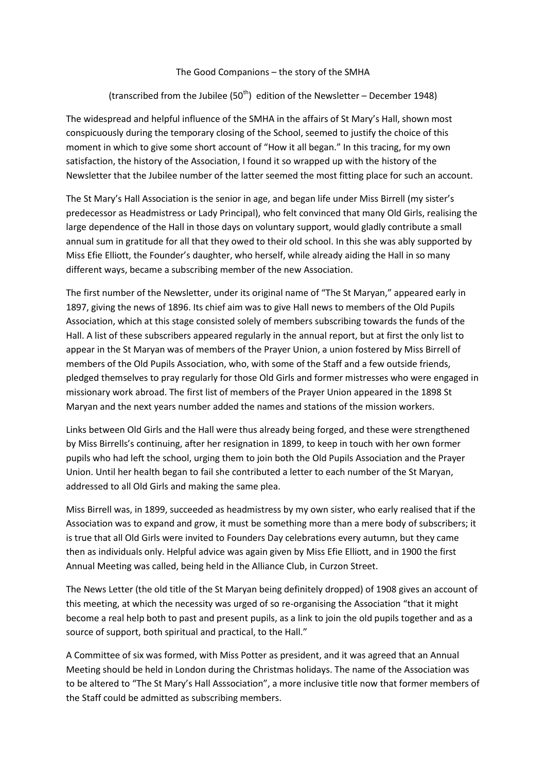## The Good Companions – the story of the SMHA

## (transcribed from the Jubilee (50<sup>th</sup>) edition of the Newsletter – December 1948)

The widespread and helpful influence of the SMHA in the affairs of St Mary's Hall, shown most conspicuously during the temporary closing of the School, seemed to justify the choice of this moment in which to give some short account of "How it all began." In this tracing, for my own satisfaction, the history of the Association, I found it so wrapped up with the history of the Newsletter that the Jubilee number of the latter seemed the most fitting place for such an account.

The St Mary's Hall Association is the senior in age, and began life under Miss Birrell (my sister's predecessor as Headmistress or Lady Principal), who felt convinced that many Old Girls, realising the large dependence of the Hall in those days on voluntary support, would gladly contribute a small annual sum in gratitude for all that they owed to their old school. In this she was ably supported by Miss Efie Elliott, the Founder's daughter, who herself, while already aiding the Hall in so many different ways, became a subscribing member of the new Association.

The first number of the Newsletter, under its original name of "The St Maryan," appeared early in 1897, giving the news of 1896. Its chief aim was to give Hall news to members of the Old Pupils Association, which at this stage consisted solely of members subscribing towards the funds of the Hall. A list of these subscribers appeared regularly in the annual report, but at first the only list to appear in the St Maryan was of members of the Prayer Union, a union fostered by Miss Birrell of members of the Old Pupils Association, who, with some of the Staff and a few outside friends, pledged themselves to pray regularly for those Old Girls and former mistresses who were engaged in missionary work abroad. The first list of members of the Prayer Union appeared in the 1898 St Maryan and the next years number added the names and stations of the mission workers.

Links between Old Girls and the Hall were thus already being forged, and these were strengthened by Miss Birrells's continuing, after her resignation in 1899, to keep in touch with her own former pupils who had left the school, urging them to join both the Old Pupils Association and the Prayer Union. Until her health began to fail she contributed a letter to each number of the St Maryan, addressed to all Old Girls and making the same plea.

Miss Birrell was, in 1899, succeeded as headmistress by my own sister, who early realised that if the Association was to expand and grow, it must be something more than a mere body of subscribers; it is true that all Old Girls were invited to Founders Day celebrations every autumn, but they came then as individuals only. Helpful advice was again given by Miss Efie Elliott, and in 1900 the first Annual Meeting was called, being held in the Alliance Club, in Curzon Street.

The News Letter (the old title of the St Maryan being definitely dropped) of 1908 gives an account of this meeting, at which the necessity was urged of so re-organising the Association "that it might become a real help both to past and present pupils, as a link to join the old pupils together and as a source of support, both spiritual and practical, to the Hall."

A Committee of six was formed, with Miss Potter as president, and it was agreed that an Annual Meeting should be held in London during the Christmas holidays. The name of the Association was to be altered to "The St Mary's Hall Asssociation", a more inclusive title now that former members of the Staff could be admitted as subscribing members.